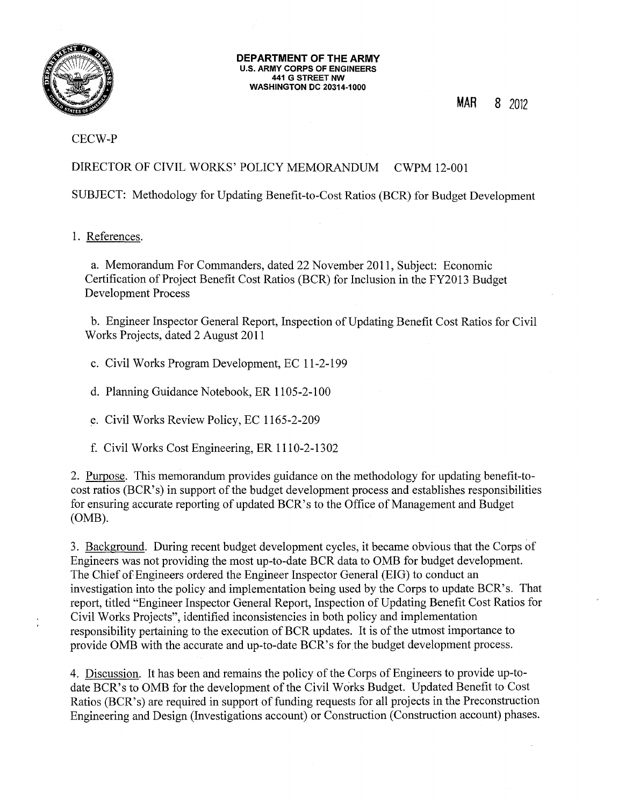

#### **DEPARTMENT OF THE ARMY**  u.s. **ARMY CORPS OF ENGINEERS 441 G STREET NW WASHINGTON DC 20314-1000**

**MAR** 8 2012

# CECW-P

DIRECTOR OF CIVIL WORKS' POLICY MEMORANDUM CWPM 12-001

SUBJECT: Methodology for Updating Benefit-to-Cost Ratios (BCR) for Budget Development

# 1. References.

a. Memorandum For Commanders, dated 22 November 2011, Subject: Economic Certification of Project Benefit Cost Ratios (BCR) for Inclusion in the FY2013 Budget Development Process

b. Engineer Inspector General Report, Inspection of Updating Benefit Cost Ratios for Civil Works Projects, dated 2 August 2011

c. Civil Works Program Development, EC 11-2-199

d. Planning Guidance Notebook, ER 1105-2-100

e. Civil Works Review Policy, EC 1165-2-209

f. Civil Works Cost Engineering, ER 1110-2-1302

2. Purpose. This memorandum provides guidance on the methodology for updating benefit-tocost ratios (BCR's) in support of the budget development process and establishes responsibilities for ensuring accurate reporting of updated BCR's to the Office of Management and Budget (OMB).

3. Background. During recent budget development cycles, it became obvious that the Corps of Engineers was not providing the most up-to-date BCR data to OMB for budget development. The Chief of Engineers ordered the Engineer Inspector General (EIG) to conduct an investigation into the policy and implementation being used by the Corps to update BCR's. That report, titled "Engineer Inspector General Report, Inspection of Updating Benefit Cost Ratios for Civil Works Projects", identified inconsistencies in both policy and implementation responsibility pertaining to the execution of BCR updates. It is of the utmost importance to provide OMB with the accurate and up-to-date BCR's for the budget development process.

4. Discussion. It has been and remains the policy ofthe Corps of Engineers to provide up-todate BCR's to OMB for the development of the Civil Works Budget. Updated Benefit to Cost Ratios (BCR's) are required in support of funding requests for all projects in the Preconstruction Engineering and Design (Investigations account) or Construction (Construction account) phases.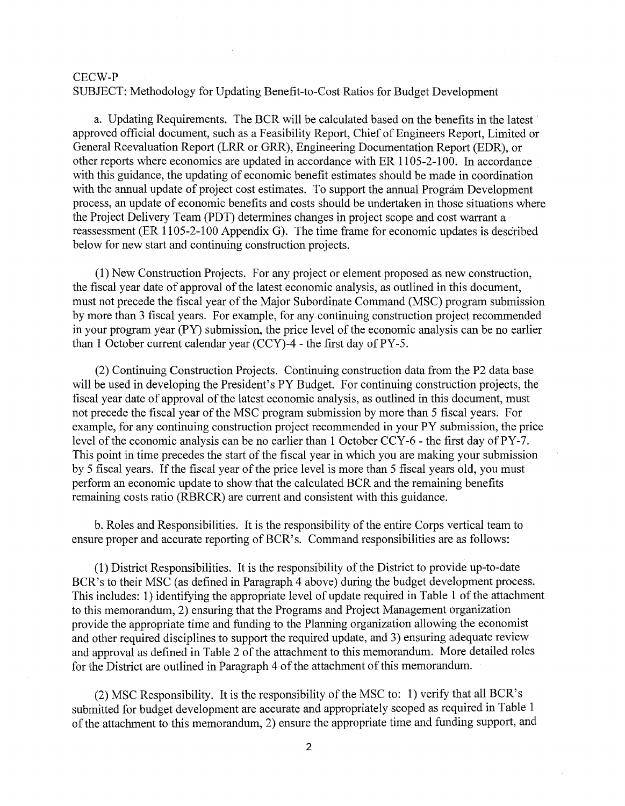SUBJECT: Methodology for Updating Benefit-to-Cost Ratios for Budget Development

a. Updating Requirements. The BCR will be calculated based on the benefits in the latest approved official document, such as a Feasibility Report, Chief of Engineers Report, Limited or General Reevaluation Report (LRR or GRR), Engineering Documentation Report (EDR), or other reports where economics are updated in accordance with ER 1105-2-100. In accordance with this guidance, the updating of economic benefit estimates should be made in coordination with the annual update of project cost estimates. To support the annual Program Development process, an update of economic benefits and costs should be undertaken in those situations where the Project Delivery Team (PDT) determines changes in project scope and cost warrant a reassessment (ER 1105-2-100 Appendix G). The time frame for economic updates is described below for new start and continuing construction projects.

(1) New Construction Projects. For any project or element proposed as new construction, the fiscal year date of approval of the latest economic analysis, as outlined in this document, must not precede the fiscal year of the Major Subordinate Command (MSC) program submission by more than 3 fiscal years. For example, for any continuing construction project recommended in your program year (PY) submission, the price level of the economic analysis can be no earlier than 1 October current calendar year  $(CCY)$ -4 - the first day of PY-5.

(2) Continuing Construction Projects. Continuing construction data from the P2 data base will be used in developing the President's PY Budget. For continuing construction projects, the fiscal year date of approval of the latest economic analysis, as outlined in this document, must not precede the fiscal year of the MSC program submission by more than 5 fiscal years. For example, for any continuing construction project recommended in your PY submission, the price level of the economic analysis can be no earlier than 1 October CCY-6 - the first day of PY-7. This point in time precedes the start of the fiscal year in which you are making your submission by 5 fiscal years. If the fiscal year of the price level is more than 5 fiscal years old, you must perform an economic update to show that the calculated BCR and the remaining benefits remaining costs ratio (RBRCR) are current and consistent with this guidance.

b. Roles and Responsibilities. It is the responsibility of the entire Corps vertical team to ensure proper and accurate reporting of BCR's. Command responsibilities are as follows:

(1) District Responsibilities. It is the responsibility of the District to provide up-to-date BCR's to their MSC (as defined in Paragraph 4 above) during the budget development process. This includes: 1) identifying the appropriate level of update required in Table 1 of the attachment to this memorandum, 2) ensuring that the Programs and Project Management organization provide the appropriate time and funding to the Planning organization allowing the economist and other required disciplines to support the required update, and 3) ensuring adequate review and approval as defined in Table 2 of the attachment to this memorandum. More detailed roles for the District are outlined in Paragraph 4 of the attachment of this memorandum.

(2) MSC Responsibility. It is the responsibility of the MSC to: 1) verify that all BCR's submitted for budget development are accurate and appropriately scoped as required in Table 1 of the attachment to this memorandum, 2) ensure the appropriate time and funding support, and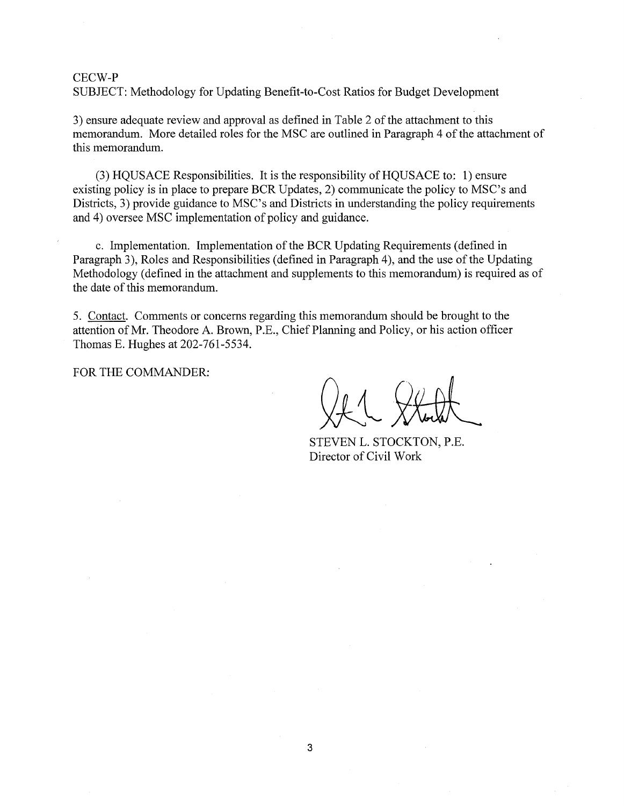SUBJECT: Methodology for Updating Benefit-to-Cost Ratios for Budget Development

3) ensure adequate review and approval as defined in Table 2 of the attachment to this memorandum. More detailed roles for the MSC are outlined in Paragraph 4 of the attachment of this memorandum.

 $(3)$  HQUSACE Responsibilities. It is the responsibility of HQUSACE to: 1) ensure existing policy is in place to prepare BCR Updates, 2) communicate the policy to MSC's and Districts, 3) provide guidance to MSC's and Districts in understanding the policy requirements and 4) oversee MSC implementation of policy and guidance.

c. Implementation. Implementation of the BCR Updating Requirements (defined in Paragraph 3), Roles and Responsibilities (defined in Paragraph 4), and the use of the Updating Methodology (defined in the attachment and supplements to this memorandum) is required as of the date of this memorandum.

5. Contact. Comments or concerns regarding this memorandum should be brought to the attention of Mr. Theodore A. Brown, P.E., Chief Planning and Policy, or his action officer Thomas E. Hughes at 202-761-5534.

FOR THE COMMANDER:

STEVEN L. STOCKTON, P.E. Director of Civil Work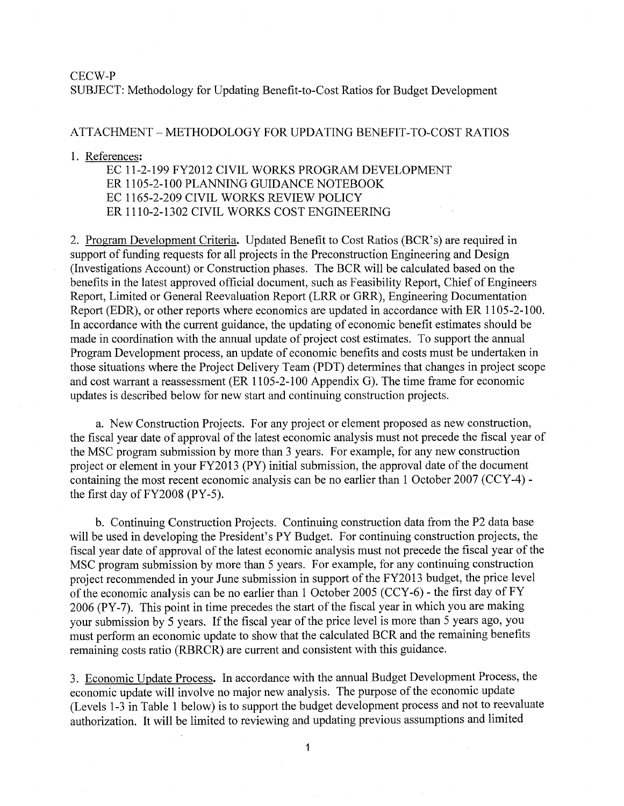SUBJECT: Methodology for Updating Benefit-to-Cost Ratios for Budget Development

## ATTACHMENT - METHODOLOGY FOR UPDATING BENEFIT-TO-COST RATIOS

#### 1. References:

EC 11-2-199 FY2012 CIVIL WORKS PROGRAM DEVELOPMENT ER 1105-2-100 PLANNING GUIDANCE NOTEBOOK EC 1165-2-209 CIVIL WORKS REVIEW POLICY ER 1110-2-1302 CIVIL WORKS COST ENGINEERING

2. Program Development Criteria. Updated Benefit to Cost Ratios (BCR's) are required in support of funding requests for all projects in the Preconstruction Engineering and Design (Investigations Account) or Construction phases. The BCR will be calculated based on the benefits in the latest approved official document, such as Feasibility Report, Chief of Engineers Report, Limited or General Reevaluation Report (LRR or GRR), Engineering Documentation Report (EDR), or other reports where economics are updated in accordance with ER 1105-2-100. In accordance with the current guidance, the updating of economic benefit estimates should be made in coordination with the annual update of project cost estimates. To support the annual Program Development process, an update of economic benefits and costs must be undertaken in those situations where the Project Delivery Team (PDT) determines that changes in project scope and cost warrant a reassessment (ER 1105-2-100 Appendix G). The time frame for economic updates is described below for new start and continuing construction projects.

a. New Construction Projects. For any project or element proposed as new construction, the fiscal year date of approval of the latest economic analysis must not precede the fiscal year of the MSC program submission by more than 3 years. For example, for any new construction project or element in your FY2013 (PY) initial submission, the approval date of the document containing the most recent economic analysis can be no earlier than 1 October 2007 (CCY-4) the first day of FY2008 (PY-5).

b. Continuing Construction Projects. Continuing construction data from the P2 data base will be used in developing the President's PY Budget. For continuing construction projects, the fiscal year date of approval of the latest economic analysis must not precede the fiscal year of the MSC program submission by more than 5 years. For example, for any continuing construction project recommended in your June submission in support of the FY2013 budget, the price level of the economic analysis can be no earlier than 1 October 2005 (CCY -6) - the first day of FY 2006 (PY -7). This point in time precedes the start of the fiscal year in which you are making your submission by 5 years. If the fiscal year of the price level is more than 5 years ago, you must perform an economic update to show that the calculated BCR and the remaining benefits remaining costs ratio (RBRCR) are current and consistent with this guidance.

3. Economic Update Process. In accordance with the annual Budget Development Process, the economic update will involve no major new analysis. The purpose of the economic update (Levels 1-3 in Table 1 below) is to support the budget development process and not to reevaluate authorization. It will be limited to reviewing and updating previous assumptions and limited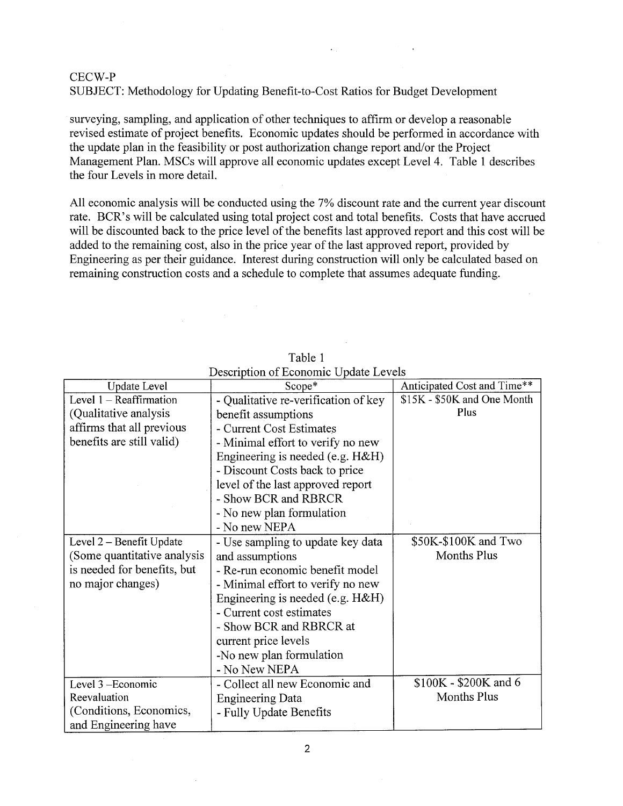SUBJECT: Methodology for Updating Benefit-to-Cost Ratios for Budget Development

surveying, sampling, and application of other techniques to affirm or develop a reasonable revised estimate of project benefits. Economic updates should be performed in accordance with the update plan in the feasibility or post authorization change report and/or the Project Management Plan. MSCs will approve all economic updates except Level 4. Table 1 describes the four Levels in more detail.

All economic analysis will be conducted using the 7% discount rate and the current year discount rate. BCR's will be calculated using total project cost and total benefits. Costs that have accrued will be discounted back to the price level of the benefits last approved report and this cost will be added to the remaining cost, also in the price year of the last approved report, provided by Engineering as per their guidance. Interest during construction will only be calculated based on remaining construction costs and a schedule to complete that assumes adequate funding.

| <b>Update Level</b>         | Scope*                               | Anticipated Cost and Time** |
|-----------------------------|--------------------------------------|-----------------------------|
| Level $1 -$ Reaffirmation   | - Qualitative re-verification of key | \$15K - \$50K and One Month |
| (Qualitative analysis       | benefit assumptions                  | Plus                        |
| affirms that all previous   | - Current Cost Estimates             |                             |
| benefits are still valid)   | - Minimal effort to verify no new    |                             |
|                             | Engineering is needed (e.g. H&H)     |                             |
|                             | - Discount Costs back to price       |                             |
|                             | level of the last approved report    |                             |
|                             | - Show BCR and RBRCR                 |                             |
|                             | - No new plan formulation            |                             |
|                             | - No new NEPA                        |                             |
| Level 2 – Benefit Update    | - Use sampling to update key data    | \$50K-\$100K and Two        |
| (Some quantitative analysis | and assumptions                      | <b>Months Plus</b>          |
| is needed for benefits, but | - Re-run economic benefit model      |                             |
| no major changes)           | - Minimal effort to verify no new    |                             |
|                             | Engineering is needed (e.g. $H\&H$ ) |                             |
|                             | - Current cost estimates             |                             |
|                             | - Show BCR and RBRCR at              |                             |
|                             | current price levels                 |                             |
|                             | -No new plan formulation             |                             |
|                             | - No New NEPA                        |                             |
| Level 3 - Economic          | - Collect all new Economic and       | \$100K - \$200K and 6       |
| Reevaluation                | <b>Engineering Data</b>              | Months Plus                 |
| (Conditions, Economics,     | - Fully Update Benefits              |                             |
| and Engineering have        |                                      |                             |

Table 1 Description of Economic Update Levels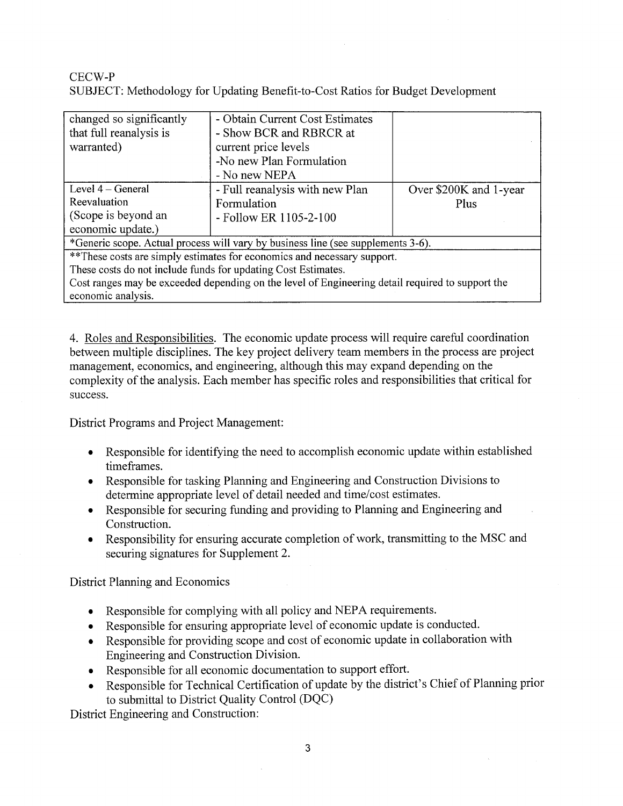# CECW-P SUBJECT: Methodology for Updating Benefit-to-Cost Ratios for Budget Development

| changed so significantly                                                                         | - Obtain Current Cost Estimates |                        |  |  |  |
|--------------------------------------------------------------------------------------------------|---------------------------------|------------------------|--|--|--|
| that full reanalysis is                                                                          | - Show BCR and RBRCR at         |                        |  |  |  |
| warranted)                                                                                       | current price levels            |                        |  |  |  |
|                                                                                                  | -No new Plan Formulation        |                        |  |  |  |
|                                                                                                  | - No new NEPA                   |                        |  |  |  |
| Level $4 - General$                                                                              | - Full reanalysis with new Plan | Over \$200K and 1-year |  |  |  |
| Reevaluation                                                                                     | Formulation                     | Plus                   |  |  |  |
| (Scope is beyond an                                                                              | - Follow ER 1105-2-100          |                        |  |  |  |
| economic update.)                                                                                |                                 |                        |  |  |  |
| *Generic scope. Actual process will vary by business line (see supplements 3-6).                 |                                 |                        |  |  |  |
| **These costs are simply estimates for economics and necessary support.                          |                                 |                        |  |  |  |
| These costs do not include funds for updating Cost Estimates.                                    |                                 |                        |  |  |  |
| Cost ranges may be exceeded depending on the level of Engineering detail required to support the |                                 |                        |  |  |  |
| economic analysis.                                                                               |                                 |                        |  |  |  |

4. Roles and Responsibilities. The economic update process will require careful coordination between multiple disciplines. The key project delivery team members in the process are project management, economics, and engineering, although this may expand depending on the complexity of the analysis. Each member has specific roles and responsibilities that critical for success.

District Programs and Project Management:

- Responsible for identifying the need to accomplish economic update within established timeframes.
- Responsible for tasking Planning and Engineering and Construction Divisions to determine appropriate level of detail needed and time/cost estimates.
- Responsible for securing funding and providing to Planning and Engineering and Construction.
- Responsibility for ensuring accurate completion of work, transmitting to the MSC and securing signatures for Supplement 2.

District Planning and Economics

- Responsible for complying with all policy and NEPA requirements.
- Responsible for ensuring appropriate level of economic update is conducted.
- Responsible for providing scope and cost of economic update in collaboration with Engineering and Construction Division.
- Responsible for all economic documentation to support effort.
- Responsible for Technical Certification of update by the district's Chief of Planning prior to submittal to District Quality Control (DQC)

District Engineering and Construction: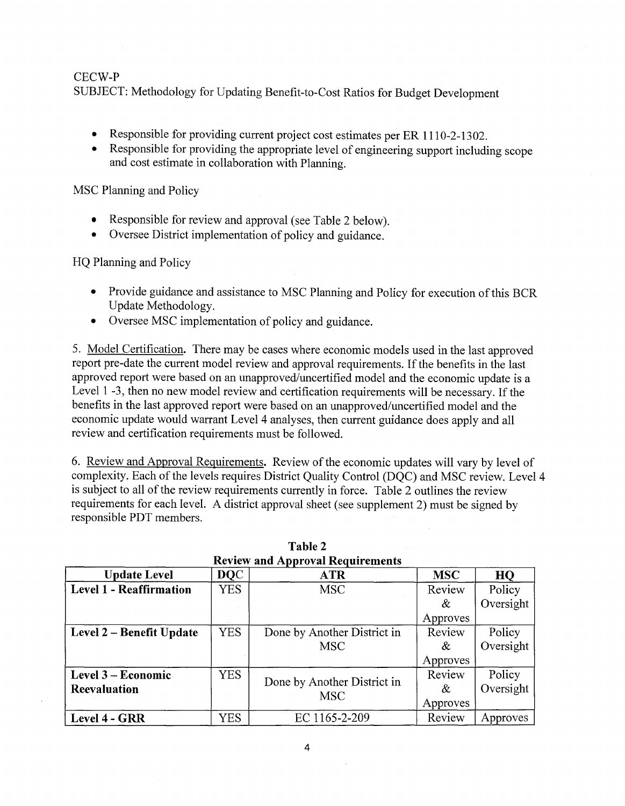SUBJECT: Methodology for Updating Benefit-to-Cost Ratios for Budget Development

- Responsible for providing current project cost estimates per ER 1110-2-1302.
- Responsible for providing the appropriate level of engineering support including scope and cost estimate in collaboration with Planning.

MSC Planning and Policy

- Responsible for review and approval (see Table 2 below).
- Oversee District implementation of policy and guidance.

HQ Planning and Policy

- Provide guidance and assistance to MSC Planning and Policy for execution of this BCR Update Methodology.
- Oversee MSC implementation of policy and guidance.

5. Model Certification. There may be cases where economic models used in the last approved report pre-date the current model review and approval requirements. If the benefits in the last approved report were based on an unapproved/uncertified model and the economic update is a Level 1 -3, then no new model review and certification requirements will be necessary. If the benefits in the last approved report were based on an unapproved/uncertified model and the economic update would warrant Level 4 analyses, then current guidance does apply and all review and certification requirements must be followed.

6. Review and Approval Requirements. Review of the economic updates will vary by level of complexity. Each of the levels requires District Quality Control (DQC) and MSC review. Level 4 is subject to all of the review requirements currently in force. Table 2 outlines the review requirements for each level. A district approval sheet (see supplement 2) must be signed by responsible **PDT** members.

| <b>Review and Approval Requirements</b> |             |                                           |            |           |  |  |  |
|-----------------------------------------|-------------|-------------------------------------------|------------|-----------|--|--|--|
| <b>Update Level</b>                     | <b>DQC</b>  | <b>ATR</b>                                | <b>MSC</b> | HQ        |  |  |  |
| <b>Level 1 - Reaffirmation</b>          | YES         | <b>MSC</b>                                | Review     | Policy    |  |  |  |
|                                         |             |                                           | &          | Oversight |  |  |  |
|                                         |             |                                           | Approves   |           |  |  |  |
| Level 2 - Benefit Update                | <b>YES</b>  | Done by Another District in               | Review     | Policy    |  |  |  |
|                                         |             | <b>MSC</b>                                | &          | Oversight |  |  |  |
|                                         |             |                                           | Approves   |           |  |  |  |
| Level 3 – Economic                      | <b>YES</b>  |                                           | Review     | Policy    |  |  |  |
| <b>Reevaluation</b>                     |             | Done by Another District in<br><b>MSC</b> | &          | Oversight |  |  |  |
|                                         | Approves    |                                           |            |           |  |  |  |
| Level 4 - GRR                           | ${\rm YES}$ | EC 1165-2-209                             | Review     | Approves  |  |  |  |

| Table 2 |  |                                  |  |
|---------|--|----------------------------------|--|
|         |  | Review and Annroval Requirements |  |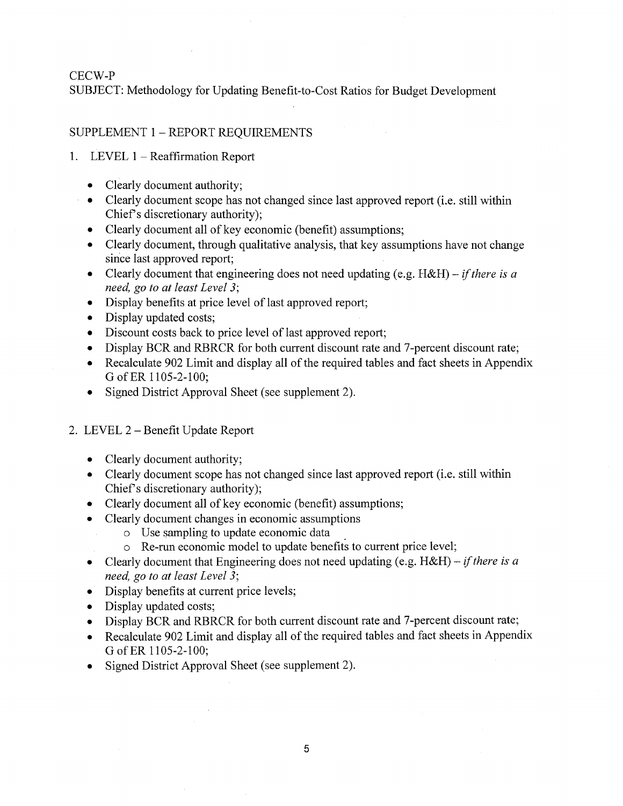SUBJECT: Methodology for Updating Benefit-to-Cost Ratios for Budget Development

## SUPPLEMENT 1 - REPORT REQUIREMENTS

- 1. LEVEL 1 Reaffirmation Report
	- Clearly document authority;
	- Clearly document scope has not changed since last approved report (i.e. still within Chief's discretionary authority);
	- Clearly document all of key economic (benefit) assumptions;
	- Clearly document, through qualitative analysis, that key assumptions have not change since last approved report;
	- Clearly document that engineering does not need updating (e.g. H&H) *if there is a need, go to at least Level 3;*
	- Display benefits at price level of last approved report;
	- Display updated costs;
	- Discount costs back to price level of last approved report;
	- Display BCR and RBRCR for both current discount rate and 7-percent discount rate;
	- Recalculate 902 Limit and display all of the required tables and fact sheets in Appendix GofER 1105-2-100;
	- Signed District Approval Sheet (see supplement 2).
- 2. LEVEL 2 Benefit Update Report
	- Clearly document authority;
	- Clearly document scope has not changed since last approved report (i.e. still within Chief's discretionary authority);
	- Clearly document all of key economic (benefit) assumptions;
	- Clearly document changes in economic assumptions
		- o Use sampling to update economic data .
		- oRe-run economic model to update benefits to current price level;
	- Clearly document that Engineering does not need updating (e.g. H&H) *if there is a need, go to at least Level 3;*
	- Display benefits at current price levels;
	- Display updated costs;
	- Display BCR and RBRCR for both current discount rate and 7-percent discount rate;
	- Recalculate 902 Limit and display all of the required tables and fact sheets in Appendix GofER 1105-2-100;
	- Signed District Approval Sheet (see supplement 2).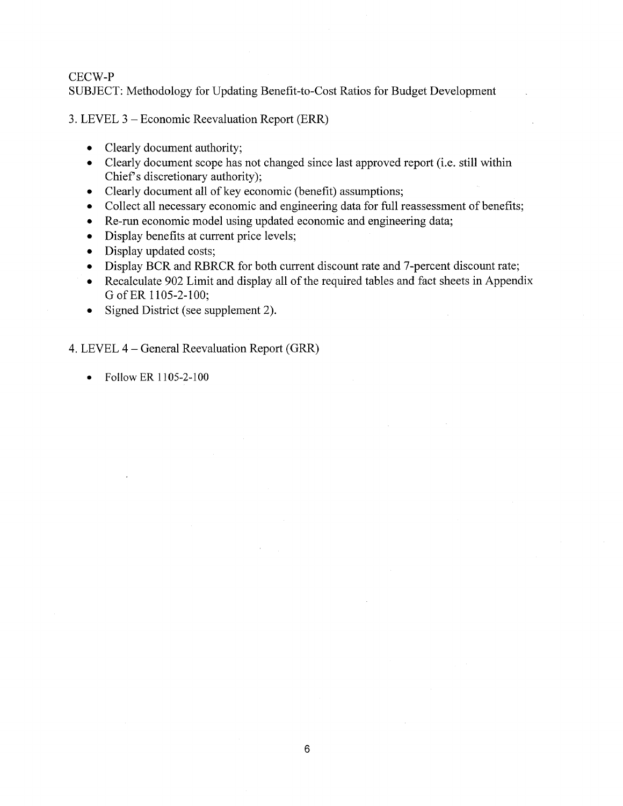SUBJECT: Methodology for Updating Benefit-to-Cost Ratios for Budget Development

3. LEVEL 3 - Economic Reevaluation Report (ERR)

- Clearly document authority;
- Clearly document scope has not changed since last approved report (i.e. still within Chief's discretionary authority);
- Clearly document all of key economic (benefit) assumptions;
- Collect all necessary economic and engineering data for full reassessment of benefits;
- Re-run economic model using updated economic and engineering data;
- Display benefits at current price levels;
- Display updated costs;
- Display BCR and RBRCR for both current discount rate and 7-percent discount rate;
- Recalculate 902 Limit and display all of the required tables and fact sheets in Appendix GofER 1105-2-100;
- Signed District (see supplement 2).

4. LEVEL 4 - General Reevaluation Report (GRR)

• Follow ER **1105-2-100**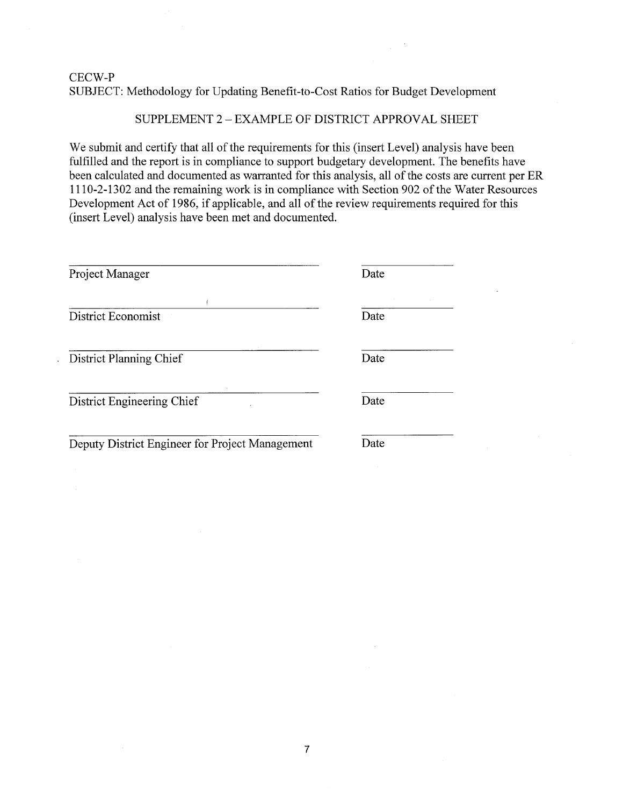# CECW-P SUBJECT: Methodology for Updating Benefit-to-Cost Ratios for Budget Development

# SUPPLEMENT 2 - EXAMPLE OF DISTRICT APPROVAL SHEET

We submit and certify that all of the requirements for this (insert Level) analysis have been fulfilled and the report is in compliance to support budgetary development. The benefits have been calculated and documented as warranted for this analysis, all of the costs are current per ER 1110-2-1302 and the remaining work is in compliance with Section 902 ofthe Water Resources Development Act of 1986, if applicable, and all of the review requirements required for this (insert Level) analysis have been met and documented.

| Project Manager                                 | Date |
|-------------------------------------------------|------|
| <b>District Economist</b>                       | Date |
|                                                 |      |
| District Planning Chief                         | Date |
| District Engineering Chief                      | Date |
| Deputy District Engineer for Project Management | Date |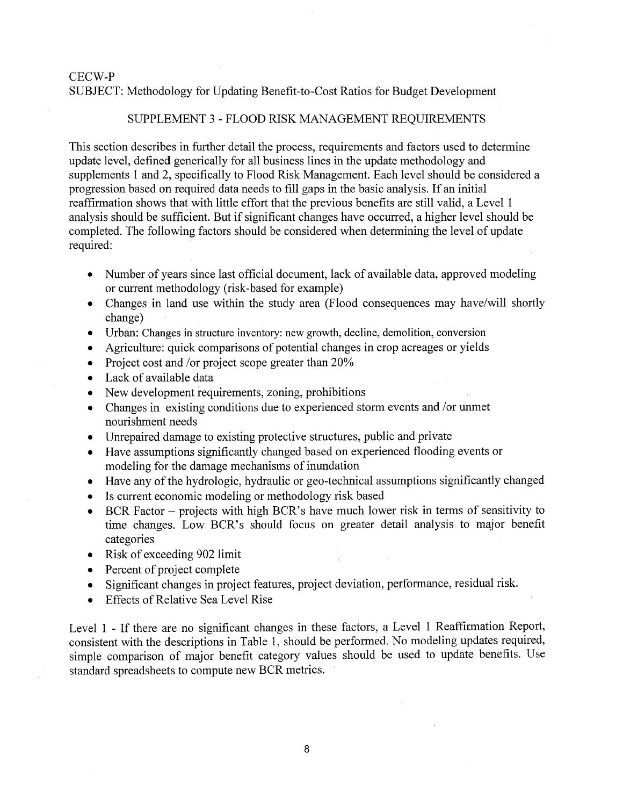## SUBJECT: Methodology for Updating Benefit-to-Cost Ratios for Budget Development

### SUPPLEMENT 3 - FLOOD RISK MANAGEMENT REQUIREMENTS

This section describes in further detail the process, requirements and factors used to determine update level, defined generically for all business lines in the update methodology and supplements 1 and 2, specifically to Flood Risk Management. Each level should be considered a progression based on required data needs to fill gaps in the basic analysis. If an initial reaffirmation shows that with little effort that the previous benefits are still valid, a Level 1 analysis should be sufficient. But if significant changes have occurred, a higher level should be completed. The following factors should be considered when determining the level of update required:

- Number of years since last official document, lack of available data, approved modeling or current methodology (risk-based for example)
- Changes in land use within the study area (Flood consequences may have/will shortly change)
- Urban: Changes in structure inventory: new growth, decline, demolition, conversion
- Agriculture: quick comparisons of potential changes in crop acreages or yields
- Project cost and /or project scope greater than 20%
- Lack of available data
- New development requirements, zoning, prohibitions
- Changes in existing conditions due to experienced storm events and *lor* unmet nourishment needs
- Unrepaired damage to existing protective structures, public and private
- Have assumptions significantly changed based on experienced flooding events or modeling for the damage mechanisms of inundation
- Have any of the hydrologic, hydraulic or geo-technical assumptions significantly changed
- Is current economic modeling or methodology risk based
- BCR Factor projects with high BCR's have much lower risk in terms of sensitivity to time changes. Low BCR's should focus on greater detail analysis to major benefit categories
- Risk of exceeding 902 limit
- Percent of project complete
- Significant changes in project features, project deviation, performance, residual risk.
- Effects of Relative Sea Level Rise

Level 1 - If there are no significant changes in these factors, a Level 1 Reaffirmation Report, consistent with the descriptions in Table 1, should be performed. No modeling updates required, simple comparison of major benefit category values should be used to update benefits. Use standard spreadsheets to compute new BCR metrics.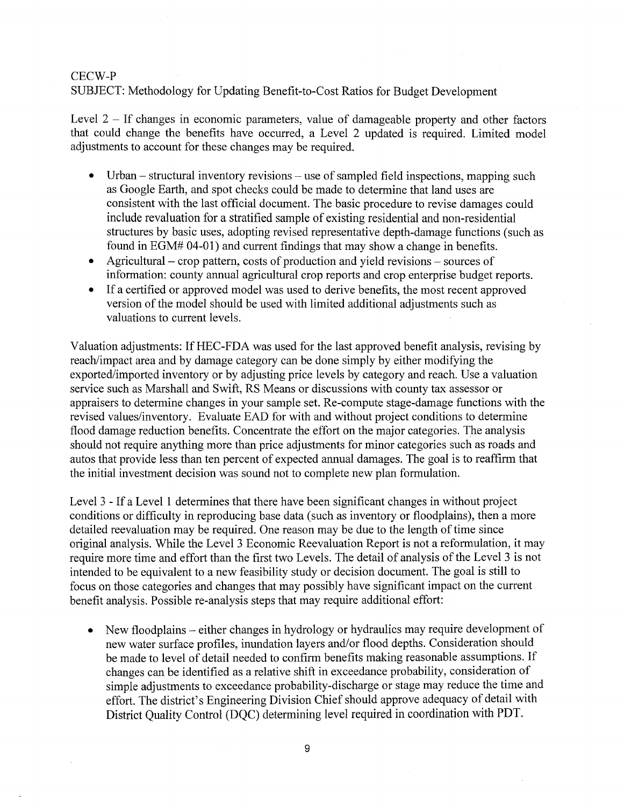# SUBJECT: Methodology for Updating Benetit-to-Cost Ratios for Budget Development

Level 2 - If changes in economic parameters, value of damageable property and other factors that could change the benefits have occurred, a Level 2 updated is required. Limited model adjustments to account for these changes may be required.

- Urban structural inventory revisions use of sampled field inspections, mapping such as Google Earth, and spot checks could be made to determine that land uses are consistent with the last official document. The basic procedure to revise damages could include revaluation for a stratified sample of existing residential and non-residential structures by basic uses, adopting revised representative depth-damage functions (such as found in EGM# 04-01) and current findings that may show a change in benefits.
- Agricultural crop pattern, costs of production and yield revisions sources of information: county annual agricultural crop reports and crop enterprise budget reports.
- If a certified or approved model was used to derive benefits, the most recent approved version of the model should be used with limited additional adjustments such as valuations to current levels.

Valuation adjustments: IfHEC-FDA was used for the last approved benefit analysis, revising by reach/impact area and by damage category can be done simply by either modifying the exported/imported inventory or by adjusting price levels by category and reach. Use a valuation service such as Marshall and Swift, RS Means or discussions with county tax assessor or appraisers to determine changes in your sample set. Re-compute stage-damage functions with the revised values/inventory. Evaluate EAD for with and without project conditions to determine flood damage reduction benefits. Concentrate the effort on the major categories. The analysis should not require anything more than price adjustments for minor categories such as roads and autos that provide less than ten percent of expected annual damages. The goal is to reaffirm that the initial investment decision was sound not to complete new plan formulation.

Level 3 - If a Level 1 determines that there have been significant changes in without project conditions or difficulty in reproducing base data (such as inventory or floodplains), then a more detailed reevaluation may be required. One reason may be due to the length of time since original analysis. While the Level 3 Economic Reevaluation Report is not a reformulation, it may require more time and effort than the first two Levels. The detail of analysis of the Level 3 is not intended to be equivalent to a new feasibility study or decision document. The goal is still to focus on those categories and changes that may possibly have significant impact on the current benefit analysis. Possible re-analysis steps that may require additional effort:

• New floodplains – either changes in hydrology or hydraulics may require development of new water surface profiles, inundation layers and/or flood depths. Consideration should be made to level of detail needed to confirm benefits making reasonable assumptions. If changes can be identified as a relative shift in exceedance probability, consideration of simple adjustments to exceedance probability-discharge or stage may reduce the time and effort. The district's Engineering Division Chief should approve adequacy of detail with District Quality Control (DQC) determining level required in coordination with PDT.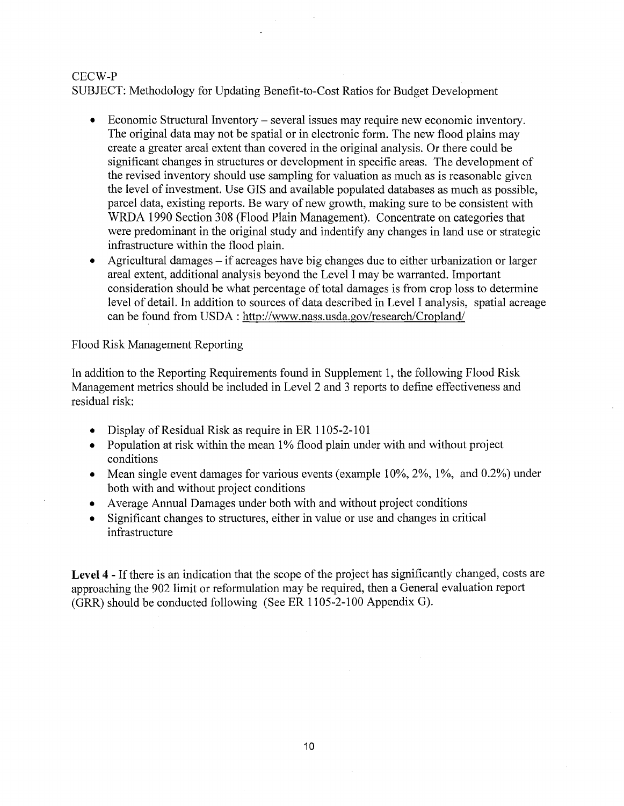SUBJECT: Methodology for Updating Benefit-to-Cost Ratios for Budget Development

- Economic Structural Inventory several issues may require new economic inventory. The original data may not be spatial or in electronic form. The new flood plains may create a greater areal extent than covered in the original analysis. Or there could be significant changes in structures or development in specific areas. The development of the revised inventory should use sampling for valuation as much as is reasonable given the level of investment. Use GIS and available populated databases as much as possible, parcel data, existing reports. Be wary of new growth, making sure to be consistent with WRDA 1990 Section 308 (Flood Plain Management). Concentrate on categories that were predominant in the original study and indentify any changes in land use or strategic infrastructure within the flood plain.
- Agricultural damages if acreages have big changes due to either urbanization or larger areal extent, additional analysis beyond the Level I may be warranted. Important consideration should be what percentage of total damages is from crop loss to determine level of detail. In addition to sources of data described in Level I analysis, spatial acreage can be found from USDA: http://www.nass.usda.gov/research/Cropland/

Flood Risk Management Reporting

In addition to the Reporting Requirements found in Supplement 1, the following Flood Risk Management metrics should be included in Level 2 and 3 reports to define effectiveness and residual risk:

- Display of Residual Risk as require in ER 1105-2-101
- Population at risk within the mean 1% flood plain under with and without project conditions
- Mean single event damages for various events (example 10%, 2%, 1%, and 0.2%) under both with and without project conditions
- Average Annual Damages under both with and without project conditions
- Significant changes to structures, either in value or use and changes in critical infrastructure

Level 4 - If there is an indication that the scope of the project has significantly changed, costs are approaching the 902 limit or reformulation may be required, then a General evaluation report (GRR) should be conducted following (See ER 1105-2-100 Appendix G).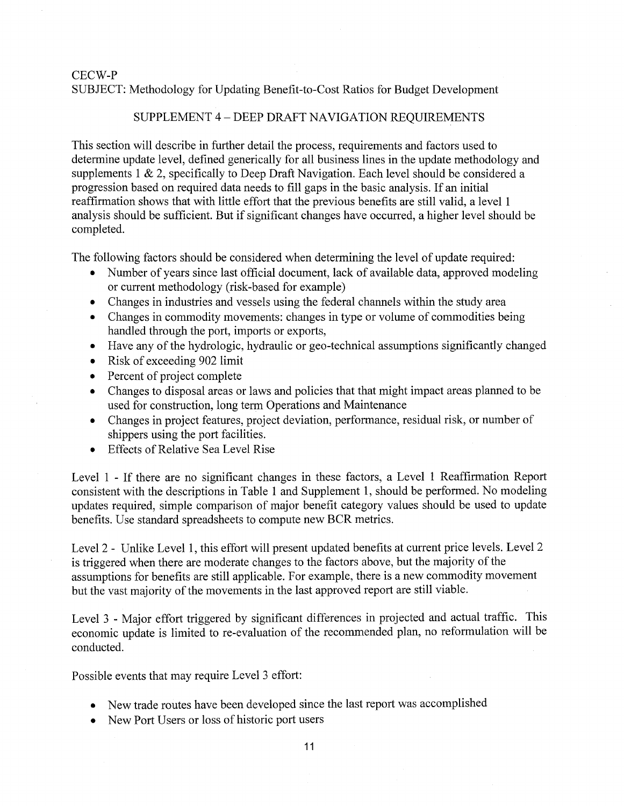# SUBJECT: Methodology for Updating Benefit-to-Cost Ratios for Budget Development

### SUPPLEMENT 4 - DEEP DRAFT NAVIGATION REQUIREMENTS

This section will describe in further detail the process, requirements and factors used to determine update level, defined generically for all business lines in the update methodology and supplements 1 & 2, specifically to Deep Draft Navigation. Each level should be considered a progression based on required data needs to fill gaps in the basic analysis. If an initial reaffirmation shows that with little effort that the previous benefits are still valid, a level 1 analysis should be sufficient. But if significant changes have occurred, a higher level should be completed.

The following factors should be considered when determining the level of update required:

- Number of years since last official document, lack of available data, approved modeling or current methodology (risk-based for example)
- Changes in industries and vessels using the federal channels within the study area
- Changes in commodity movements: changes in type or volume of commodities being handled through the port, imports or exports,
- Have any of the hydrologic, hydraulic or geo-technical assumptions significantly changed
- Risk of exceeding 902 limit
- Percent of project complete
- Changes to disposal areas or laws and policies that that might impact areas planned to be used for construction, long term Operations and Maintenance
- Changes in project features, project deviation, performance, residual risk, or number of shippers using the port facilities.
- Effects of Relative Sea Level Rise

Level 1 - If there are no significant changes in these factors, a Level 1 Reaffirmation Report consistent with the descriptions in Table 1 and Supplement 1, should be performed. No modeling updates required, simple comparison of major benefit category values should be used to update benefits. Use standard spreadsheets to compute new BCR metrics.

Level 2 - Unlike Level 1, this effort will present updated benefits at current price levels. Level 2 is triggered when there are moderate changes to the factors above, but the majority of the assumptions for benefits are still applicable. For example, there is a new commodity movement but the vast majority of the movements in the last approved report are still viable.

Level 3 - Major effort triggered by significant differences in projected and actual traffic. This economic update is limited to re-evaluation of the recommended plan, no reformulation will be conducted.

Possible events that may require Level 3 effort:

- New trade routes have been developed since the last report was accomplished
- New Port Users or loss of historic port users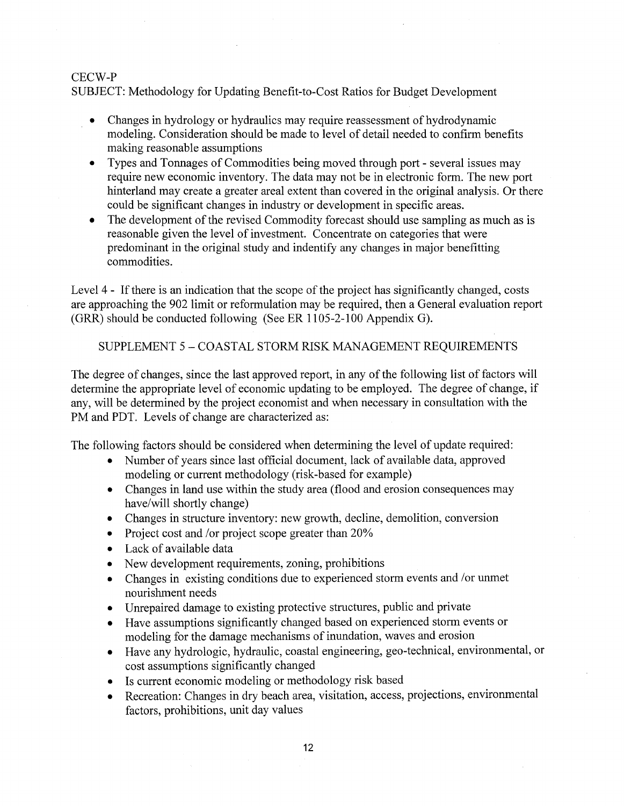SUBJECT: Methodology for Updating Benefit-to-Cost Ratios for Budget Development

- Changes in hydrology or hydraulics may require reassessment of hydrodynamic modeling. Consideration should be made to level of detail needed to confirm benefits making reasonable assumptions
- Types and Tonnages of Commodities being moved through port several issues may require new economic inventory. The data may not be in electronic form. The new port hinterland may create a greater areal extent than covered in the original analysis. Or there could be significant changes in industry or development in specific areas.
- The development of the revised Commodity forecast should use sampling as much as is reasonable given the level of investment. Concentrate on categories that were predominant in the original study and indentify any changes in major benefitting commodities.

Level 4 - If there is an indication that the scope of the project has significantly changed, costs are approaching the 902 limit or reformulation may be required, then a General evaluation report (GRR) should be conducted following (See ER 1105-2-100 Appendix G).

SUPPLEMENT 5 - COASTAL STORM RISK MANAGEMENT REQUIREMENTS

The degree of changes, since the last approved report, in any of the following list of factors will determine the appropriate level of economic updating to be employed. The degree of change, if any, will be determined by the project economist and when necessary in consultation with the PM and PDT. Levels of change are characterized as:

The following factors should be considered when determining the level of update required:

- Number of years since last official document, lack of available data, approved modeling or current methodology (risk-based for example)
- Changes in land use within the study area (flood and erosion consequences may have/will shortly change)
- Changes in structure inventory: new growth, decline, demolition, conversion
- Project cost and /or project scope greater than 20%
- Lack of available data
- New development requirements, zoning, prohibitions
- Changes in existing conditions due to experienced storm events and /or unmet nourishment needs
- Unrepaired damage to existing protective structures, public and private
- Have assumptions significantly changed based on experienced storm events or modeling for the damage mechanisms of inundation, waves and erosion
- Have any hydrologic, hydraulic, coastal engineering, geo-technical, environmental, or cost assumptions significantly changed
- Is current economic modeling or methodology risk based
- Recreation: Changes in dry beach area, visitation, access, projections, environmental factors, prohibitions, unit day values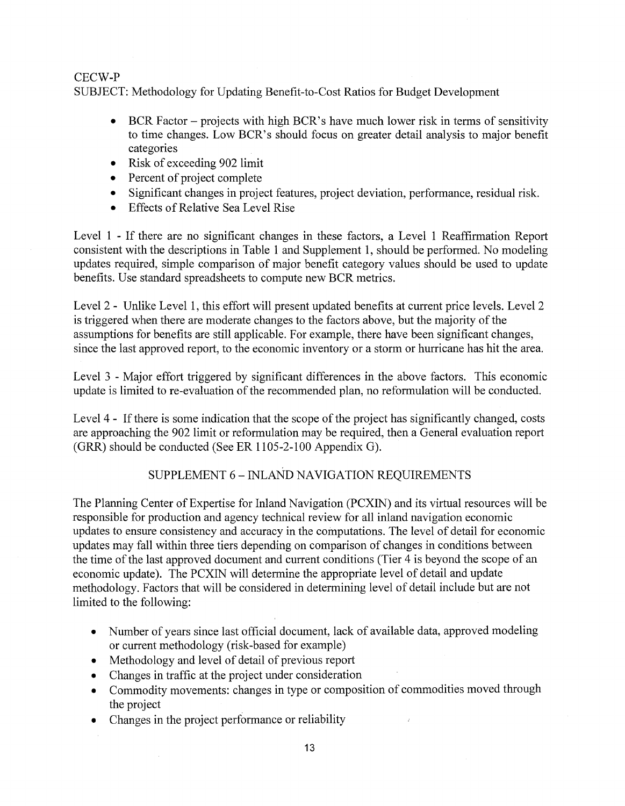SUBJECT: Methodology for Updating Benefit-to-Cost Ratios for Budget Development

- BCR Factor projects with high BCR's have much lower risk in terms of sensitivity to time changes. Low BCR's should focus on greater detail analysis to major benefit categories
- Risk of exceeding 902 limit
- $\bullet$  Percent of project complete
- Significant changes in project features, project deviation, performance, residual risk.
- Effects of Relative Sea Level Rise

Level 1 - If there are no significant changes in these factors, a Level 1 Reaffirmation Report consistent with the descriptions in Table 1 and Supplement 1, should be performed. No modeling updates required, simple comparison of major benefit category values should be used to update benefits. Use standard spreadsheets to compute new BCR metrics.

Level 2 - Unlike Level 1, this effort will present updated benefits at current price levels. Level 2 is triggered when there are moderate changes to the factors above, but the majority of the assumptions for benefits are still applicable. For example, there have been significant changes, since the last approved report, to the economic inventory or a storm or hurricane has hit the area.

Level 3 - Major effort triggered by significant differences in the above factors. This economic update is limited to re-evaluation of the recommended plan, no reformulation will be conducted.

Level 4 - If there is some indication that the scope of the project has significantly changed, costs are approaching the 902 limit or reformulation may be required, then a General evaluation report (GRR) should be conducted (See ER 1105-2-100 Appendix G).

# SUPPLEMENT 6 - INLAND NAVIGATION REQUIREMENTS

The Planning Center of Expertise for Inland Navigation (PCXIN) and its virtual resources will be responsible for production and agency technical review for all inland navigation economic updates to ensure consistency and accuracy in the computations. The level of detail for economic updates may fall within three tiers depending on comparison of changes in conditions between the time of the last approved document and current conditions (Tier 4 is beyond the scope of an economic update). The PCXIN will determine the appropriate level of detail and update methodology. Factors that will be considered in determining level of detail include but are not limited to the following:

- Number of years since last official document, lack of available data, approved modeling or current methodology (risk-based for example)
- Methodology and level of detail of previous report
- Changes in traffic at the project under consideration
- Commodity movements: changes in type or composition of commodities moved through the project
- Changes in the project performance or reliability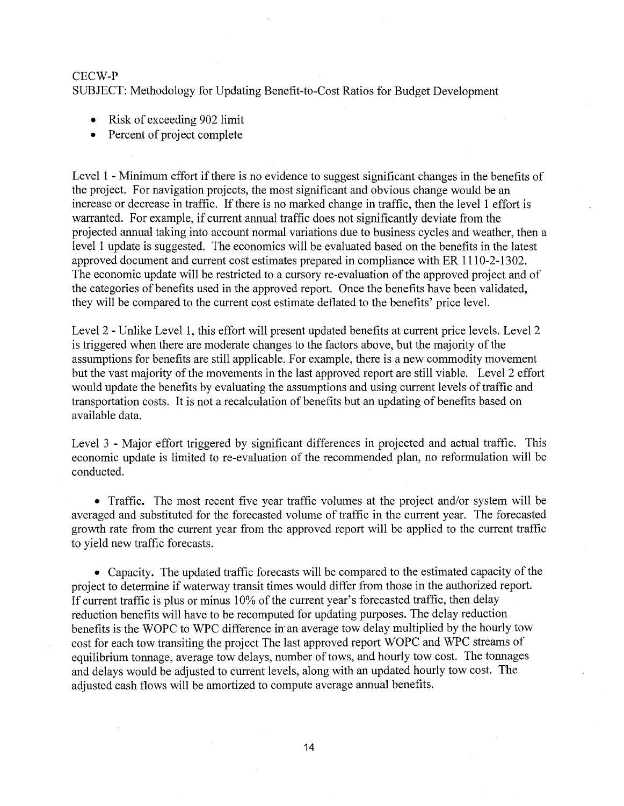SUBJECT: Methodology for Updating Benefit-to-Cost Ratios for Budget Development

- Risk of exceeding 902 limit
- Percent of project complete

Level 1 - Minimum effort if there is no evidence to suggest significant changes in the benefits of the project. For navigation projects, the most significant and obvious change would be an increase or decrease in traffic. If there is no marked change in traffic, then the level 1 effort is warranted. For example, if current annual traffic does not significantly deviate from the projected annual taking into account normal variations due to business cycles and weather, then a level 1 update is suggested. The economics will be evaluated based on the benefits in the latest approved document and current cost estimates prepared in compliance with ER 1110-2-1302. The economic update will be restricted to a cursory re-evaluation of the approved project and of the categories of benefits used in the approved report. Once the benefits have been validated, they will be compared to the current cost estimate deflated to the benefits' price level.

Level 2 - Unlike Level 1, this effort will present updated benefits at current price levels. Level 2 is triggered when there are moderate changes to the factors above, but the majority of the assumptions for benefits are still applicable. For example, there is a new commodity movement but the vast majority of the movements in the last approved report are still viable. Level 2 effort would update the benefits by evaluating the assumptions and using current levels of traffic and transportation costs. It is not a recalculation of benefits but an updating of benefits based on available data.

Level 3 - Major effort triggered by significant differences in projected and actual traffic. This economic update is limited to re-evaluation of the recommended plan, no reformulation will be conducted.

• Traffic. The most recent five year traffic volumes at the project and/or system will be averaged and substituted for the forecasted volume of traffic in the current year. The forecasted growth rate from the current year from the approved report will be applied to the current traffic to yield new traffic forecasts.

• Capacity. The updated traffic forecasts will be compared to the estimated capacity of the project to determine if waterway transit times would differ from those in the authorized report. If current traffic is plus or minus 10% of the current year's forecasted traffic, then delay reduction benefits will have to be recomputed for updating purposes. The delay reduction benefits is the WOPC to WPC difference in an average tow delay multiplied by the hourly tow cost for each tow transiting the project The last approved report WOPC and WPC streams of equilibrium tonnage, average tow delays, number of tows, and hourly tow cost. The tonnages and delays would be adjusted to current levels, along with an updated hourly tow cost. The adjusted cash flows will be amortized to compute average annual benefits.